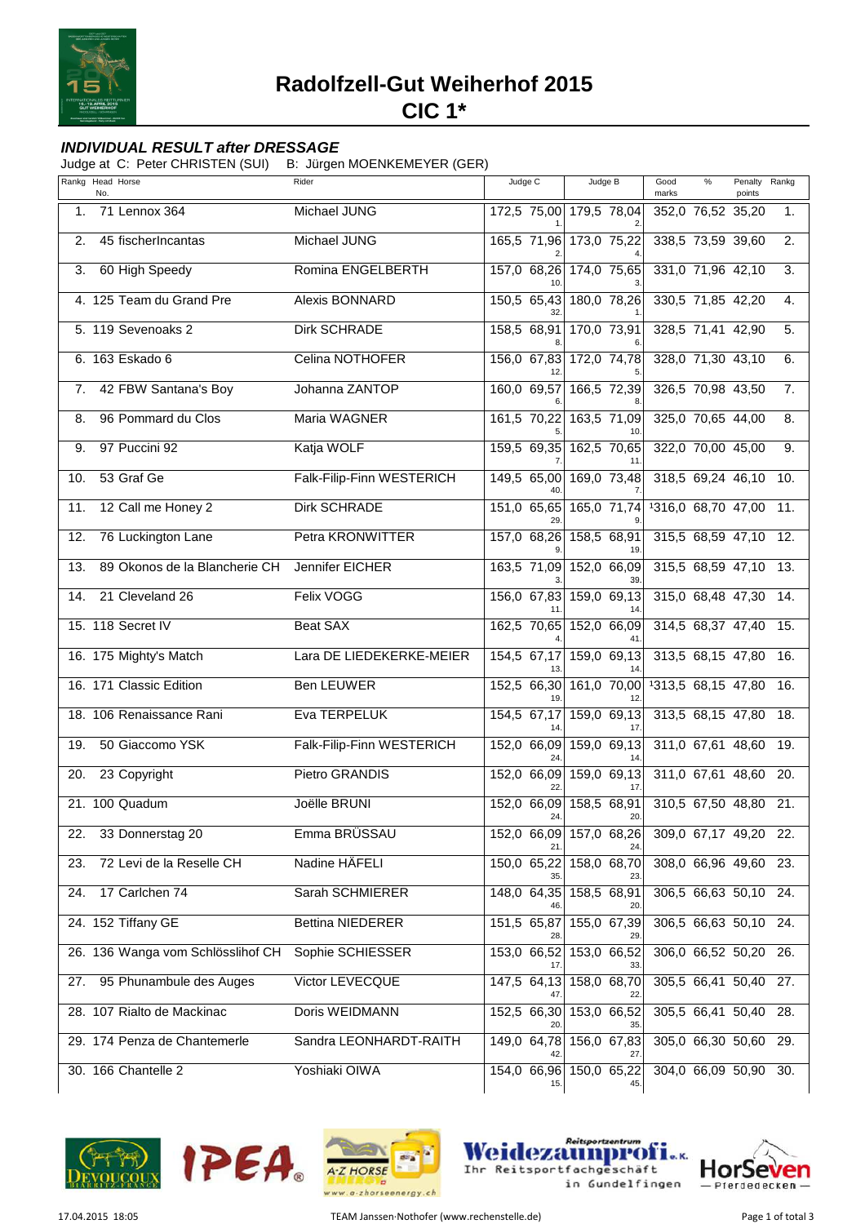

**Radolfzell-Gut Weiherhof 2015**

**CIC 1\***

## **INDIVIDUAL RESULT after DRESSAGE**

Judge at C: Peter CHRISTEN (SUI) B: Jürgen MOENKEMEYER (GER)

|     | Rankg Head Horse<br>No.           | Rider                     | Judge C            | Judge B                        | Good<br>marks         | $\frac{9}{6}$ | Penalty<br>points | Rankg |
|-----|-----------------------------------|---------------------------|--------------------|--------------------------------|-----------------------|---------------|-------------------|-------|
| 1.  | 71 Lennox 364                     | Michael JUNG              |                    | 172,5 75,00 179,5 78,04        | 352,0 76,52 35,20     |               |                   | 1.    |
| 2.  | 45 fischerIncantas                | Michael JUNG              |                    | 165,5 71,96 173,0 75,22        | 338,5 73,59 39,60     |               |                   | 2.    |
| 3.  | 60 High Speedy                    | Romina ENGELBERTH         | 157,0 68,26        | 174,0 75,65                    | 331,0 71,96 42,10     |               |                   | 3.    |
|     | 4. 125 Team du Grand Pre          | Alexis BONNARD            | 150,5 65,43        | 180,0 78,26                    | 330,5 71,85 42,20     |               |                   | 4.    |
|     | 5. 119 Sevenoaks 2                | <b>Dirk SCHRADE</b>       | 158,5 68,91        | 170,0 73,91                    | 328,5 71,41 42,90     |               |                   | 5.    |
|     | 6. 163 Eskado 6                   | Celina NOTHOFER           | 156,0 67,83        | $172,0$ 74,78                  | 328,0 71,30 43,10     |               |                   | 6.    |
| 7.  | 42 FBW Santana's Boy              | Johanna ZANTOP            | 160,0 69,57        | 166,5 72,39                    | 326,5 70,98 43,50     |               |                   | 7.    |
| 8.  | 96 Pommard du Clos                | Maria WAGNER              | 161,5 70,22        | 163,5 71,09                    | 325,0 70,65 44,00     |               |                   | 8.    |
| 9.  | 97 Puccini 92                     | Katja WOLF                |                    | 159,5 69,35 162,5 70,65        | 322,0 70,00 45,00     |               |                   | 9.    |
| 10. | 53 Graf Ge                        | Falk-Filip-Finn WESTERICH |                    | 149,5 65,00 169,0 73,48        | 318,5 69,24 46,10 10. |               |                   |       |
| 11. | 12 Call me Honey 2                | <b>Dirk SCHRADE</b>       | 151,0 65,65        | 165,0 71,74                    | 1316,0 68,70 47,00    |               |                   | 11.   |
| 12. | 76 Luckington Lane                | Petra KRONWITTER          | 157,0 68,26        | 158,5 68,91                    | 315,5 68,59 47,10 12. |               |                   |       |
| 13. | 89 Okonos de la Blancherie CH     | Jennifer EICHER           |                    | 163,5 71,09 152,0 66,09        | 315,5 68,59 47,10 13. |               |                   |       |
| 14. | 21 Cleveland 26                   | Felix VOGG                |                    | 156,0 67,83 159,0 69,13        | 315,0 68,48 47,30 14. |               |                   |       |
|     | 15. 118 Secret IV                 | <b>Beat SAX</b>           | 162,5 70,65        | 152,0 66,09                    | 314,5 68,37 47,40 15. |               |                   |       |
|     | 16. 175 Mighty's Match            | Lara DE LIEDEKERKE-MEIER  | 154,5 67,17        | 159,0 69,13                    | 313,5 68,15 47,80 16. |               |                   |       |
|     | 16. 171 Classic Edition           | <b>Ben LEUWER</b>         | 152,5 66,30        | 161,0 70,00<br>12              | 1313,5 68,15 47,80    |               |                   | 16.   |
|     | 18. 106 Renaissance Rani          | Eva TERPELUK              | 154,5 67,17        | 159,0 69,13<br>17              | 313,5 68,15 47,80     |               |                   | 18.   |
| 19. | 50 Giaccomo YSK                   | Falk-Filip-Finn WESTERICH | 152,0 66,09        | 159,0 69,13                    | 311,0 67,61 48,60 19. |               |                   |       |
| 20. | 23 Copyright                      | Pietro GRANDIS            | 152,0 66,09        | 159,0 69,13                    | 311,0 67,61 48,60 20. |               |                   |       |
|     | 21. 100 Quadum                    | Joëlle BRUNI              | 152,0 66,09<br>24. | 158,5 68,91<br>20.             | 310,5 67,50 48,80 21. |               |                   |       |
| 22. | 33 Donnerstag 20                  | Emma BRÜSSAU              |                    | 152,0 66,09 157,0 68,26        | 309,0 67,17 49,20 22. |               |                   |       |
| 23. | 72 Levi de la Reselle CH          | Nadine HÄFELI             |                    | 150,0 65,22 158,0 68,70        | 308,0 66,96 49,60 23. |               |                   |       |
| 24. | 17 Carlchen 74                    | Sarah SCHMIERER           |                    | 148,0 64,35 158,5 68,91        | 306,5 66,63 50,10 24. |               |                   |       |
|     | 24. 152 Tiffany GE                | Bettina NIEDERER          | 151,5 65,87<br>28. | 155,0 67,39<br>29.             | 306,5 66,63 50,10 24. |               |                   |       |
|     | 26. 136 Wanga vom Schlösslihof CH | Sophie SCHIESSER          |                    | 153,0 66,52 153,0 66,52        | 306,0 66,52 50,20 26. |               |                   |       |
| 27. | 95 Phunambule des Auges           | Victor LEVECQUE           |                    | 147,5 64,13 158,0 68,70        | 305,5 66,41 50,40 27. |               |                   |       |
|     | 28. 107 Rialto de Mackinac        | Doris WEIDMANN            | 20.                | 152,5 66,30 153,0 66,52<br>35. | 305,5 66,41 50,40 28. |               |                   |       |
|     | 29. 174 Penza de Chantemerle      | Sandra LEONHARDT-RAITH    |                    | 149,0 64,78 156,0 67,83<br>27  | 305,0 66,30 50,60 29. |               |                   |       |
|     | 30. 166 Chantelle 2               | Yoshiaki OIWA             | 15.                | 154,0 66,96 150,0 65,22        | 304,0 66,09 50,90 30. |               |                   |       |







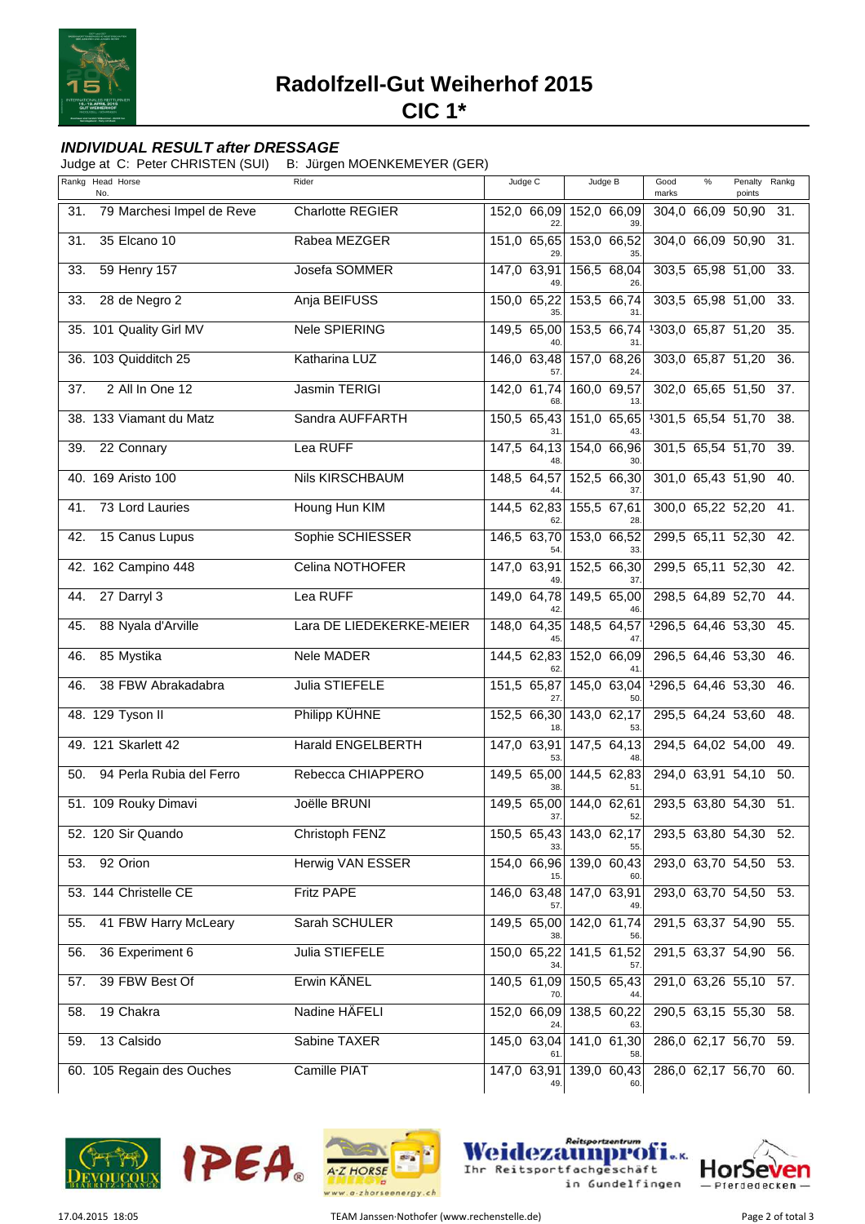

Radolfzell-Gut Weiherhof 2015

 $CIC<sub>1*</sub>$ 

## **INDIVIDUAL RESULT after DRESSAGE**

Judge at C: Peter CHRISTEN (SUI) B: Jürgen MOENKEMEYER (GER)

|     | Rankg Head Horse<br>No.   | Rider                    | Judge C                  | Judge B                        | Good<br>$\%$<br>Penalty<br>Rankg<br>marks<br>points |
|-----|---------------------------|--------------------------|--------------------------|--------------------------------|-----------------------------------------------------|
| 31. | 79 Marchesi Impel de Reve | <b>Charlotte REGIER</b>  | 152,0 66,09<br>22        | 152,0 66,09                    | 304,0 66,09 50,90<br>-31.                           |
| 31. | 35 Elcano 10              | Rabea MEZGER             | 151,0 65,65<br>29        | 153,0 66,52                    | 304,0 66,09 50,90<br>31.                            |
| 33. | 59 Henry 157              | Josefa SOMMER            | 147,0 63,91<br>49.       | 156,5 68,04<br>26.             | 303,5 65,98 51,00 33.                               |
| 33. | 28 de Negro 2             | Anja BEIFUSS             | 150,0 65,22              | 153,5 66,74                    | 303,5 65,98 51,00 33.                               |
|     | 35. 101 Quality Girl MV   | <b>Nele SPIERING</b>     | 149,5 65,00              | 153,5 66,74                    | 1303,0 65,87 51,20 35.                              |
|     | 36. 103 Quidditch 25      | Katharina LUZ            | $146,0$ 63,48<br>57      | 157,0 68,26                    | 303,0 65,87 51,20<br>-36.                           |
| 37. | 2 All In One 12           | <b>Jasmin TERIGI</b>     | 142,0 61,74              | 160,0 69,57<br>13              | 302,0 65,65 51,50<br>37.                            |
|     | 38. 133 Viamant du Matz   | Sandra AUFFARTH          | 150,5 65,43              | 151,0 65,65                    | 1301,5 65,54 51,70 38.                              |
| 39. | 22 Connary                | Lea RUFF                 | $147,5$ 64,13            | 154,0 66,96                    | 301,5 65,54 51,70 39.                               |
|     | 40. 169 Aristo 100        | <b>Nils KIRSCHBAUM</b>   | 148,5 64,57              | 152,5 66,30                    | 301,0 65,43 51,90 40.                               |
| 41. | 73 Lord Lauries           | Houng Hun KIM            | 144,5 62,83              | 155,5 67,61<br>28              | 300,0 65,22 52,20 41.                               |
| 42. | 15 Canus Lupus            | Sophie SCHIESSER         | 146,5 63,70              | 153,0 66,52                    | 299,5 65,11 52,30 42.                               |
|     | 42. 162 Campino 448       | Celina NOTHOFER          | 147,0 63,91<br>49.       | 152,5 66,30<br>37.             | 299,5 65,11 52,30 42.                               |
| 44. | 27 Darryl 3               | Lea RUFF                 | 149,0 64,78              | 149,5 65,00                    | 298,5 64,89 52,70 44.                               |
| 45. | 88 Nyala d'Arville        | Lara DE LIEDEKERKE-MEIER |                          | 148,0 64,35 148,5 64,57        | 1296,5 64,46 53,30 45.                              |
| 46. | 85 Mystika                | Nele MADER               | $\overline{144,5}$ 62,83 | 152,0 66,09                    | 296,5 64,46 53,30<br>-46.                           |
| 46. | 38 FBW Abrakadabra        | Julia STIEFELE           | 151,5 65,87<br>27        | 145,0 63,04<br>50              | 1296,5 64,46 53,30<br>46.                           |
|     | 48. 129 Tyson II          | Philipp KÜHNE            |                          | 152,5 66,30 143,0 62,17<br>53  | 295,5 64,24 53,60 48.                               |
|     | 49. 121 Skarlett 42       | <b>Harald ENGELBERTH</b> | 147,0 63,91              | 147,5 64,13                    | 294,5 64,02 54,00 49.                               |
| 50. | 94 Perla Rubia del Ferro  | Rebecca CHIAPPERO        | 38                       | 149,5 65,00 144,5 62,83<br>51  | 294,0 63,91 54,10 50.                               |
|     | 51. 109 Rouky Dimavi      | Joëlle BRUNI             | 149,5 65,00<br>37.       | $144,0$ 62,61<br>52.           | 293,5 63,80 54,30 51.                               |
|     | 52. 120 Sir Quando        | Christoph FENZ           |                          | 150,5 65,43 143,0 62,17<br>55  | 293,5 63,80 54,30 52.                               |
| 53. | 92 Orion                  | Herwig VAN ESSER         |                          | 154,0 66,96 139,0 60,43        | 293,0 63,70 54,50 53.                               |
|     | 53. 144 Christelle CE     | <b>Fritz PAPE</b>        |                          | 146,0 63,48 147,0 63,91        | 293,0 63,70 54,50 53.                               |
| 55. | 41 FBW Harry McLeary      | Sarah SCHULER            |                          | 149,5 65,00 142,0 61,74        | 291,5 63,37 54,90 55.                               |
| 56. | 36 Experiment 6           | Julia STIEFELE           | 150,0 65,22              | 141,5 61,52                    | 291,5 63,37 54,90 56.                               |
| 57. | 39 FBW Best Of            | Erwin KÄNEL              |                          | 140,5 61,09 150,5 65,43        | 291,0 63,26 55,10 57.                               |
| 58. | 19 Chakra                 | Nadine HÄFELI            | 24.                      | 152,0 66,09 138,5 60,22        | 290,5 63,15 55,30 58.                               |
| 59. | 13 Calsido                | Sabine TAXER             |                          | 145,0 63,04 141,0 61,30        | 286,0 62,17 56,70 59.                               |
|     | 60. 105 Regain des Ouches | Camille PIAT             | 49.                      | 147,0 63,91 139,0 60,43<br>60. | 286,0 62,17 56,70 60.                               |